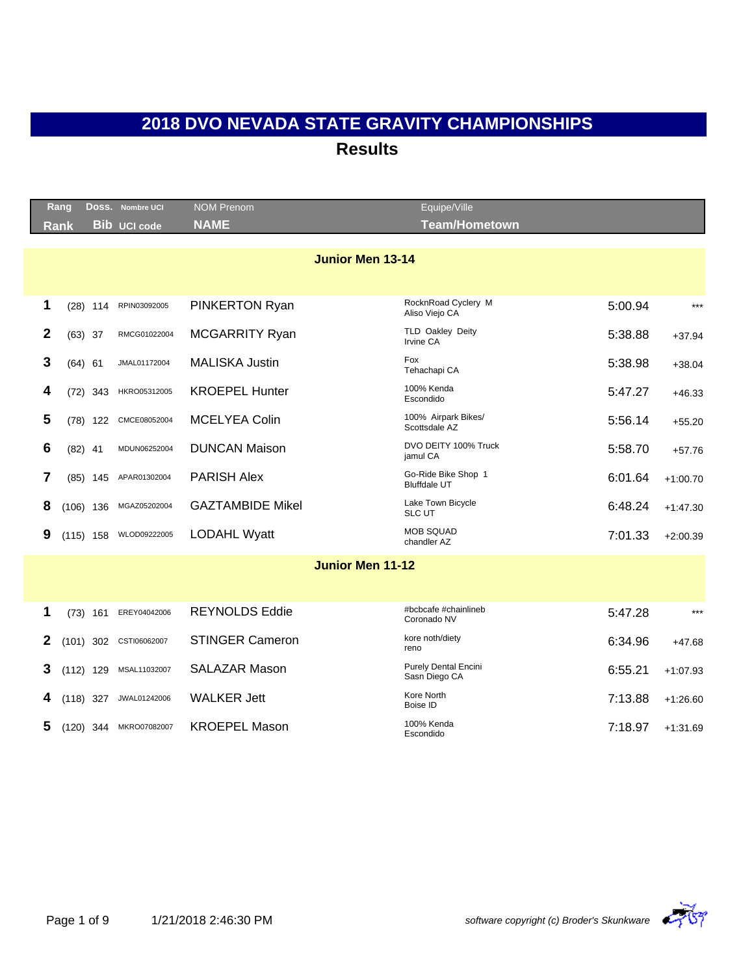|              | Rang |             | DOSS. Nombre UCI    | <b>NOM Prenom</b>       | Equipe/Ville                                 |         |            |
|--------------|------|-------------|---------------------|-------------------------|----------------------------------------------|---------|------------|
|              | Rank |             | <b>Bib UCI code</b> | <b>NAME</b>             | <b>Team/Hometown</b>                         |         |            |
|              |      |             |                     | <b>Junior Men 13-14</b> |                                              |         |            |
| 1            |      | $(28)$ 114  | RPIN03092005        | PINKERTON Ryan          | RocknRoad Cyclery M<br>Aliso Viejo CA        | 5:00.94 | $***$      |
| $\mathbf{2}$ |      | $(63)$ 37   | RMCG01022004        | <b>MCGARRITY Ryan</b>   | TLD Oakley Deity<br><b>Irvine CA</b>         | 5:38.88 | $+37.94$   |
| 3            |      | $(64)$ 61   | JMAL01172004        | <b>MALISKA Justin</b>   | Fox<br>Tehachapi CA                          | 5:38.98 | $+38.04$   |
| 4            |      | $(72)$ 343  | HKRO05312005        | <b>KROEPEL Hunter</b>   | 100% Kenda<br>Escondido                      | 5:47.27 | $+46.33$   |
| 5            |      | $(78)$ 122  | CMCE08052004        | <b>MCELYEA Colin</b>    | 100% Airpark Bikes/<br>Scottsdale AZ         | 5:56.14 | $+55.20$   |
| 6            |      | $(82)$ 41   | MDUN06252004        | <b>DUNCAN Maison</b>    | DVO DEITY 100% Truck<br>jamul CA             | 5:58.70 | $+57.76$   |
| 7            |      | (85) 145    | APAR01302004        | <b>PARISH Alex</b>      | Go-Ride Bike Shop 1<br><b>Bluffdale UT</b>   | 6:01.64 | $+1:00.70$ |
| 8            |      | $(106)$ 136 | MGAZ05202004        | <b>GAZTAMBIDE Mikel</b> | Lake Town Bicycle<br><b>SLC UT</b>           | 6:48.24 | $+1:47.30$ |
| 9            |      | $(115)$ 158 | WLOD09222005        | <b>LODAHL Wyatt</b>     | <b>MOB SQUAD</b><br>chandler AZ              | 7:01.33 | $+2:00.39$ |
|              |      |             |                     | <b>Junior Men 11-12</b> |                                              |         |            |
|              |      |             |                     |                         |                                              |         |            |
| 1            |      | $(73)$ 161  | EREY04042006        | <b>REYNOLDS Eddie</b>   | #bcbcafe #chainlineb<br>Coronado NV          | 5:47.28 | $***$      |
| 2            |      | $(101)$ 302 | CSTI06062007        | <b>STINGER Cameron</b>  | kore noth/diety<br>reno                      | 6:34.96 | $+47.68$   |
| 3            |      | $(112)$ 129 | MSAL11032007        | <b>SALAZAR Mason</b>    | <b>Purely Dental Encini</b><br>Sasn Diego CA | 6:55.21 | $+1:07.93$ |
|              |      | $(118)$ 327 | JWAL01242006        | <b>WALKER Jett</b>      | Kore North<br>Boise ID                       | 7:13.88 | $+1:26.60$ |
| 5            |      | $(120)$ 344 | MKRO07082007        | <b>KROEPEL Mason</b>    | 100% Kenda<br>Escondido                      | 7:18.97 | $+1:31.69$ |

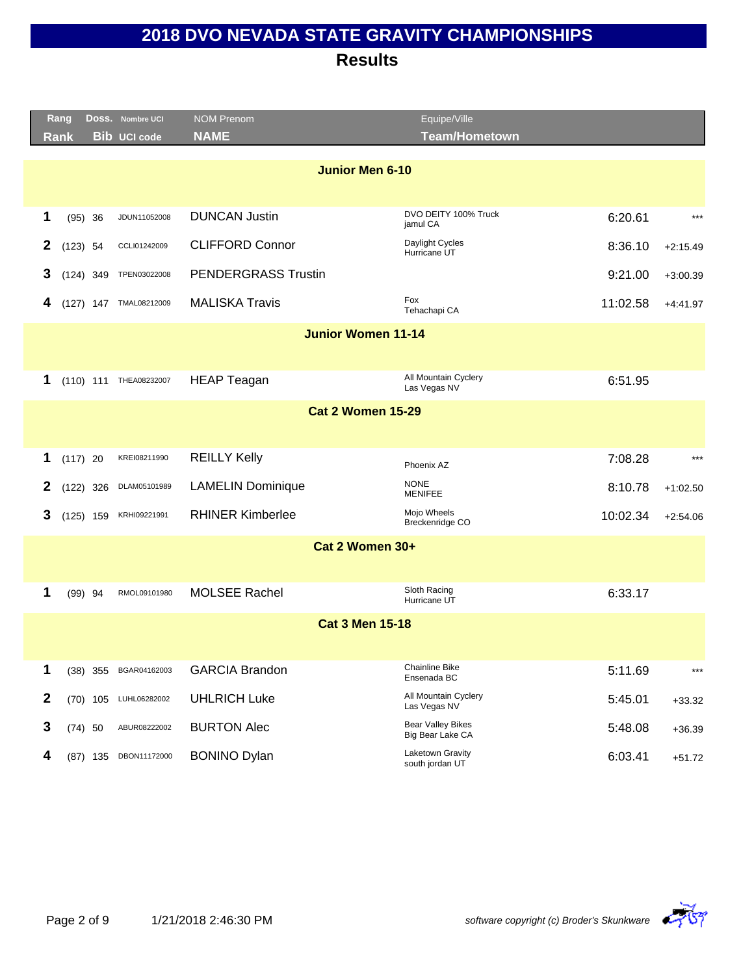|              | Rang |             | DOSS. Nombre UCI       | <b>NOM Prenom</b>          | Equipe/Ville                                 |          |            |
|--------------|------|-------------|------------------------|----------------------------|----------------------------------------------|----------|------------|
|              | Rank |             | <b>Bib</b> UCI code    | <b>NAME</b>                | <b>Team/Hometown</b>                         |          |            |
|              |      |             |                        |                            |                                              |          |            |
|              |      |             |                        | <b>Junior Men 6-10</b>     |                                              |          |            |
|              |      |             |                        |                            |                                              |          |            |
| 1            |      | $(95)$ 36   | JDUN11052008           | <b>DUNCAN Justin</b>       | DVO DEITY 100% Truck<br>jamul CA             | 6:20.61  | $***$      |
| $\mathbf 2$  |      | $(123)$ 54  | CCLI01242009           | <b>CLIFFORD Connor</b>     | Daylight Cycles<br>Hurricane UT              | 8:36.10  | $+2:15.49$ |
| 3            |      | $(124)$ 349 | TPEN03022008           | <b>PENDERGRASS Trustin</b> |                                              | 9:21.00  | $+3:00.39$ |
| 4            |      | $(127)$ 147 | TMAL08212009           | <b>MALISKA Travis</b>      | Fox<br>Tehachapi CA                          | 11:02.58 | $+4:41.97$ |
|              |      |             |                        | <b>Junior Women 11-14</b>  |                                              |          |            |
|              |      |             |                        |                            |                                              |          |            |
| 1            |      |             | (110) 111 THEA08232007 | <b>HEAP Teagan</b>         | All Mountain Cyclery<br>Las Vegas NV         | 6:51.95  |            |
|              |      |             |                        | <b>Cat 2 Women 15-29</b>   |                                              |          |            |
|              |      |             |                        |                            |                                              |          |            |
| 1            |      | $(117)$ 20  | KREI08211990           | <b>REILLY Kelly</b>        | Phoenix AZ                                   | 7:08.28  | $***$      |
| 2            |      | $(122)$ 326 | DLAM05101989           | <b>LAMELIN Dominique</b>   | <b>NONE</b><br><b>MENIFEE</b>                | 8:10.78  | $+1:02.50$ |
| 3            |      | $(125)$ 159 | KRHI09221991           | <b>RHINER Kimberlee</b>    | Mojo Wheels<br>Breckenridge CO               | 10:02.34 | $+2:54.06$ |
|              |      |             |                        | Cat 2 Women 30+            |                                              |          |            |
|              |      |             |                        |                            |                                              |          |            |
| 1            |      | $(99)$ 94   | RMOL09101980           | <b>MOLSEE Rachel</b>       | Sloth Racing<br>Hurricane UT                 | 6:33.17  |            |
|              |      |             |                        | <b>Cat 3 Men 15-18</b>     |                                              |          |            |
|              |      |             |                        |                            |                                              |          |            |
| 1            |      | $(38)$ 355  | BGAR04162003           | <b>GARCIA Brandon</b>      | Chainline Bike<br>Ensenada BC                | 5:11.69  | $***$      |
| $\mathbf{2}$ |      | $(70)$ 105  | LUHL06282002           | <b>UHLRICH Luke</b>        | All Mountain Cyclery<br>Las Vegas NV         | 5:45.01  | $+33.32$   |
| 3            |      | $(74)$ 50   | ABUR08222002           | <b>BURTON Alec</b>         | <b>Bear Valley Bikes</b><br>Big Bear Lake CA | 5:48.08  | $+36.39$   |
| 4            |      | (87) 135    | DBON11172000           | <b>BONINO Dylan</b>        | Laketown Gravity<br>south jordan UT          | 6:03.41  | $+51.72$   |

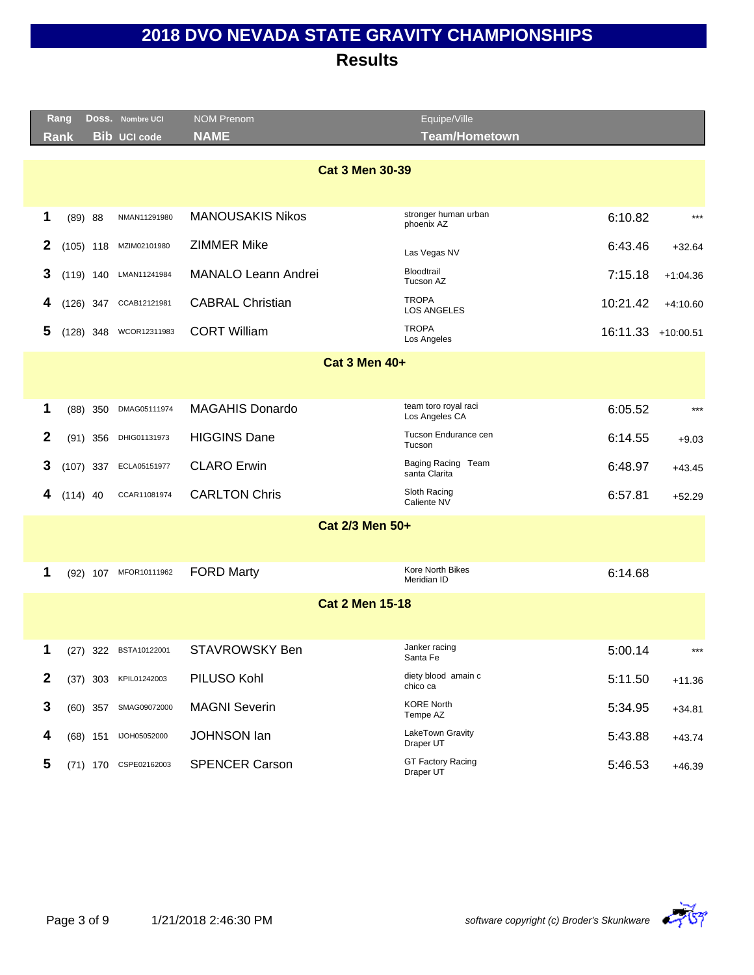|                        |              | Rang        |            | DOSS. Nombre UCI       | <b>NOM Prenom</b>          | Equipe/Ville                           |                    |            |  |  |
|------------------------|--------------|-------------|------------|------------------------|----------------------------|----------------------------------------|--------------------|------------|--|--|
|                        |              | Rank        |            | <b>Bib UCI code</b>    | <b>NAME</b>                | <b>Team/Hometown</b>                   |                    |            |  |  |
| <b>Cat 3 Men 30-39</b> |              |             |            |                        |                            |                                        |                    |            |  |  |
|                        |              |             |            |                        |                            |                                        |                    |            |  |  |
|                        | 1            | (89) 88     |            | NMAN11291980           | <b>MANOUSAKIS Nikos</b>    | stronger human urban<br>phoenix AZ     | 6:10.82            | $***$      |  |  |
|                        | 2            | $(105)$ 118 |            | MZIM02101980           | <b>ZIMMER Mike</b>         | Las Vegas NV                           | 6:43.46            | $+32.64$   |  |  |
|                        | 3            | $(119)$ 140 |            | LMAN11241984           | <b>MANALO Leann Andrei</b> | Bloodtrail<br>Tucson AZ                | 7:15.18            | $+1:04.36$ |  |  |
|                        | 4            |             |            | (126) 347 CCAB12121981 | <b>CABRAL Christian</b>    | <b>TROPA</b><br><b>LOS ANGELES</b>     | 10:21.42           | $+4:10.60$ |  |  |
|                        | 5            | $(128)$ 348 |            | WCOR12311983           | <b>CORT William</b>        | <b>TROPA</b><br>Los Angeles            | 16:11.33 +10:00.51 |            |  |  |
|                        |              |             |            |                        | <b>Cat 3 Men 40+</b>       |                                        |                    |            |  |  |
|                        |              |             |            |                        |                            |                                        |                    |            |  |  |
|                        | 1            |             | $(88)$ 350 | DMAG05111974           | <b>MAGAHIS Donardo</b>     | team toro royal raci<br>Los Angeles CA | 6:05.52            | $***$      |  |  |
|                        | $\mathbf{2}$ |             | $(91)$ 356 | DHIG01131973           | <b>HIGGINS Dane</b>        | Tucson Endurance cen<br>Tucson         | 6:14.55            | $+9.03$    |  |  |
|                        | 3            | $(107)$ 337 |            | ECLA05151977           | <b>CLARO Erwin</b>         | Baging Racing Team<br>santa Clarita    | 6:48.97            | $+43.45$   |  |  |
|                        | 4            | $(114)$ 40  |            | CCAR11081974           | <b>CARLTON Chris</b>       | Sloth Racing<br>Caliente NV            | 6:57.81            | $+52.29$   |  |  |
|                        |              |             |            |                        | Cat 2/3 Men 50+            |                                        |                    |            |  |  |
|                        |              |             |            |                        |                            |                                        |                    |            |  |  |
|                        | 1            |             | $(92)$ 107 | MFOR10111962           | <b>FORD Marty</b>          | Kore North Bikes<br>Meridian ID        | 6:14.68            |            |  |  |
|                        |              |             |            |                        | <b>Cat 2 Men 15-18</b>     |                                        |                    |            |  |  |
|                        |              |             |            |                        |                            |                                        |                    |            |  |  |
|                        | 1            |             |            | (27) 322 BSTA10122001  | <b>STAVROWSKY Ben</b>      | Janker racing<br>Santa Fe              | 5:00.14            | $***$      |  |  |
|                        | $\mathbf{2}$ |             | $(37)$ 303 | KPIL01242003           | PILUSO Kohl                | diety blood amain c<br>chico ca        | 5:11.50            | $+11.36$   |  |  |
|                        | 3            |             | $(60)$ 357 | SMAG09072000           | <b>MAGNI Severin</b>       | <b>KORE North</b><br>Tempe AZ          | 5:34.95            | $+34.81$   |  |  |
|                        | 4            |             | $(68)$ 151 | IJOH05052000           | <b>JOHNSON lan</b>         | LakeTown Gravity<br>Draper UT          | 5:43.88            | $+43.74$   |  |  |
|                        | 5            |             |            | (71) 170 CSPE02162003  | <b>SPENCER Carson</b>      | <b>GT Factory Racing</b><br>Draper UT  | 5:46.53            | $+46.39$   |  |  |

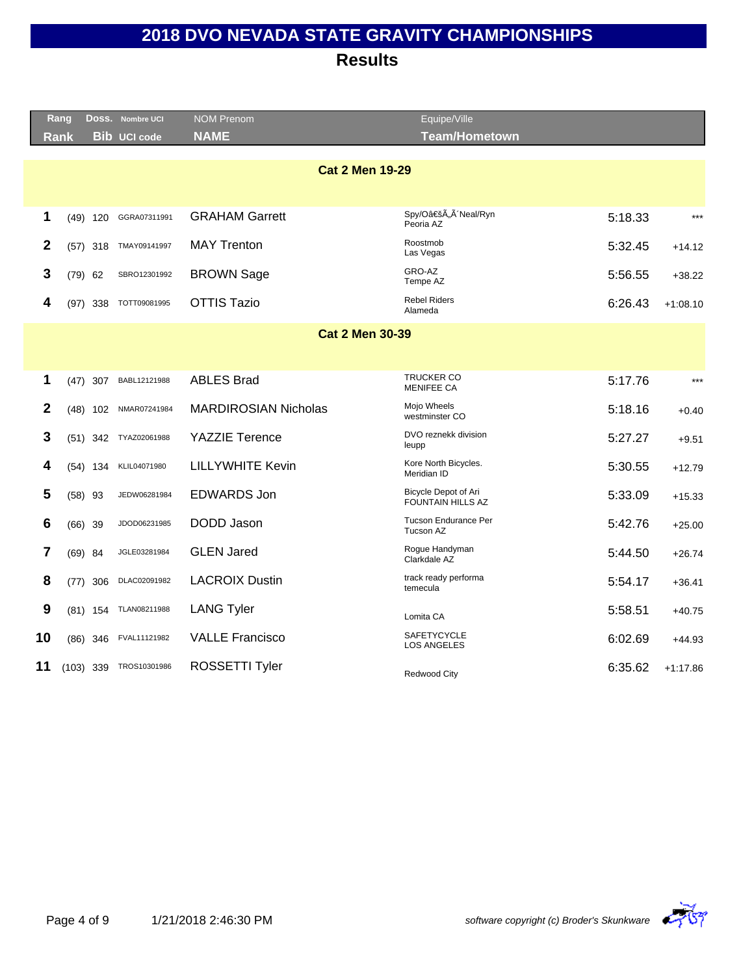|                | Rang        |            | Doss. Nombre UCI    | <b>NOM Prenom</b>           | Equipe/Ville                                     |         |            |
|----------------|-------------|------------|---------------------|-----------------------------|--------------------------------------------------|---------|------------|
|                | <b>Rank</b> |            | <b>Bib UCI code</b> | <b>NAME</b>                 | <b>Team/Hometown</b>                             |         |            |
|                |             |            |                     |                             |                                                  |         |            |
|                |             |            |                     | <b>Cat 2 Men 19-29</b>      |                                                  |         |            |
|                |             |            |                     |                             |                                                  |         |            |
| 1              |             | $(49)$ 120 | GGRA07311991        | <b>GRAHAM Garrett</b>       | Spy/O'Äà Neal/Ryn<br>Peoria AZ                   | 5:18.33 | $***$      |
| $\mathbf{2}$   |             | $(57)$ 318 | TMAY09141997        | <b>MAY Trenton</b>          | Roostmob<br>Las Vegas                            | 5:32.45 | $+14.12$   |
| 3              | $(79)$ 62   |            | SBRO12301992        | <b>BROWN Sage</b>           | GRO-AZ<br>Tempe AZ                               | 5:56.55 | $+38.22$   |
| 4              | (97)        | 338        | TOTT09081995        | <b>OTTIS Tazio</b>          | <b>Rebel Riders</b><br>Alameda                   | 6:26.43 | $+1:08.10$ |
|                |             |            |                     | <b>Cat 2 Men 30-39</b>      |                                                  |         |            |
|                |             |            |                     |                             |                                                  |         |            |
| 1              | (47)        | 307        | BABL12121988        | <b>ABLES Brad</b>           | <b>TRUCKER CO</b><br><b>MENIFEE CA</b>           | 5:17.76 | $***$      |
| $\mathbf{2}$   |             | $(48)$ 102 | NMAR07241984        | <b>MARDIROSIAN Nicholas</b> | Mojo Wheels<br>westminster CO                    | 5:18.16 | $+0.40$    |
| 3              |             | $(51)$ 342 | TYAZ02061988        | <b>YAZZIE Terence</b>       | DVO reznekk division<br>leupp                    | 5:27.27 | $+9.51$    |
| 4              |             | $(54)$ 134 | KLIL04071980        | <b>LILLYWHITE Kevin</b>     | Kore North Bicycles.<br>Meridian ID              | 5:30.55 | $+12.79$   |
| 5              | (58)        | 93         | JEDW06281984        | <b>EDWARDS Jon</b>          | Bicycle Depot of Ari<br><b>FOUNTAIN HILLS AZ</b> | 5:33.09 | $+15.33$   |
| 6              | (66)        | 39         | JDOD06231985        | DODD Jason                  | <b>Tucson Endurance Per</b><br>Tucson AZ         | 5:42.76 | $+25.00$   |
| $\overline{7}$ | $(69)$ 84   |            | JGLE03281984        | <b>GLEN Jared</b>           | Rogue Handyman<br>Clarkdale AZ                   | 5:44.50 | $+26.74$   |
| 8              | (77)        | 306        | DLAC02091982        | <b>LACROIX Dustin</b>       | track ready performa<br>temecula                 | 5:54.17 | $+36.41$   |
| 9              |             | $(81)$ 154 | TLAN08211988        | <b>LANG Tyler</b>           | Lomita CA                                        | 5:58.51 | $+40.75$   |
| 10             |             | $(86)$ 346 | FVAL11121982        | <b>VALLE Francisco</b>      | SAFETYCYCLE<br>LOS ANGELES                       | 6:02.69 | $+44.93$   |
| 11             | $(103)$ 339 |            | TROS10301986        | ROSSETTI Tyler              | Redwood City                                     | 6:35.62 | $+1:17.86$ |
|                |             |            |                     |                             |                                                  |         |            |

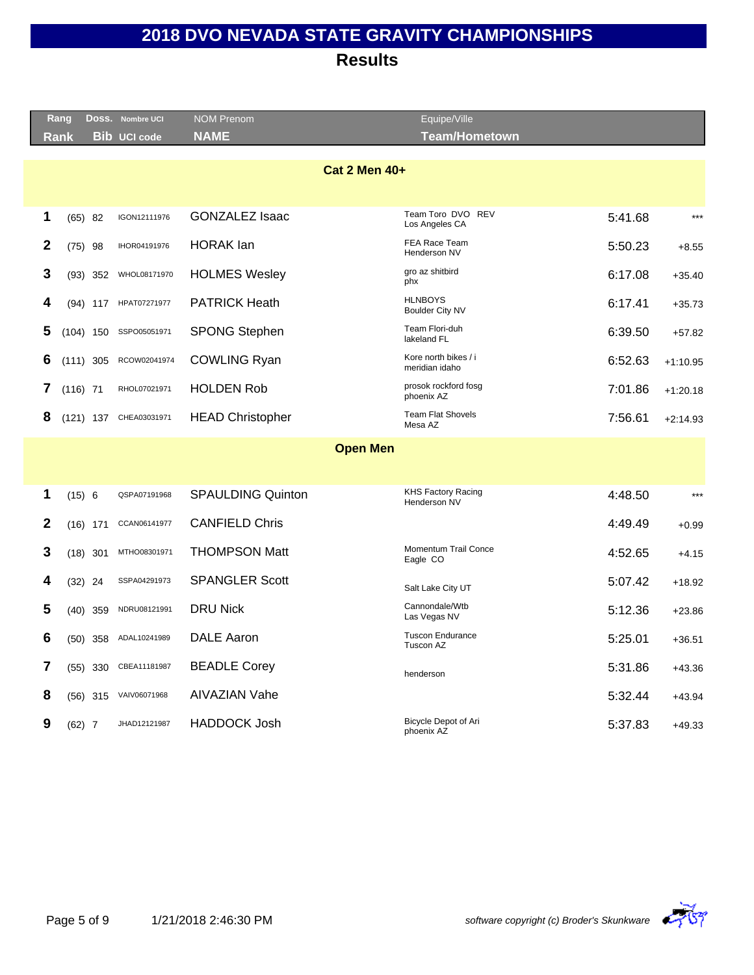| Rang |             |             | Doss. Nombre UCI      | <b>NOM Prenom</b>        | Equipe/Ville                              |         |            |
|------|-------------|-------------|-----------------------|--------------------------|-------------------------------------------|---------|------------|
| Rank |             |             | <b>Bib UCI code</b>   | <b>NAME</b>              | <b>Team/Hometown</b>                      |         |            |
|      |             |             |                       | <b>Cat 2 Men 40+</b>     |                                           |         |            |
| 1    | $(65)$ 82   |             | IGON12111976          | <b>GONZALEZ Isaac</b>    | Team Toro DVO REV<br>Los Angeles CA       | 5:41.68 | $***$      |
| 2    | $(75)$ 98   |             | IHOR04191976          | <b>HORAK</b> lan         | FEA Race Team<br>Henderson NV             | 5:50.23 | $+8.55$    |
| 3    |             | $(93)$ 352  | WHOL08171970          | <b>HOLMES Wesley</b>     | gro az shitbird<br>phx                    | 6:17.08 | $+35.40$   |
| 4    |             | $(94)$ 117  | HPAT07271977          | <b>PATRICK Heath</b>     | <b>HLNBOYS</b><br>Boulder City NV         | 6:17.41 | $+35.73$   |
| 5    |             | $(104)$ 150 | SSPO05051971          | <b>SPONG Stephen</b>     | Team Flori-duh<br>lakeland FL             | 6:39.50 | $+57.82$   |
| 6    | $(111)$ 305 |             | RCOW02041974          | <b>COWLING Ryan</b>      | Kore north bikes / i<br>meridian idaho    | 6:52.63 | $+1:10.95$ |
| 7    | $(116)$ 71  |             | RHOL07021971          | <b>HOLDEN Rob</b>        | prosok rockford fosg<br>phoenix AZ        | 7:01.86 | $+1:20.18$ |
| 8    | $(121)$ 137 |             | CHEA03031971          | <b>HEAD Christopher</b>  | <b>Team Flat Shovels</b><br>Mesa AZ       | 7:56.61 | $+2:14.93$ |
|      |             |             |                       | <b>Open Men</b>          |                                           |         |            |
| 1    | (15) 6      |             | QSPA07191968          | <b>SPAULDING Quinton</b> | <b>KHS Factory Racing</b><br>Henderson NV | 4:48.50 | $***$      |
| 2    |             | $(16)$ 171  | CCAN06141977          | <b>CANFIELD Chris</b>    |                                           | 4:49.49 | $+0.99$    |
| 3    |             | $(18)$ 301  | MTHO08301971          | <b>THOMPSON Matt</b>     | Momentum Trail Conce<br>Eagle CO          | 4:52.65 | $+4.15$    |
| 4    | $(32)$ 24   |             | SSPA04291973          | <b>SPANGLER Scott</b>    | Salt Lake City UT                         | 5:07.42 | $+18.92$   |
| 5    |             | $(40)$ 359  | NDRU08121991          | <b>DRU Nick</b>          | Cannondale/Wtb<br>Las Vegas NV            | 5:12.36 | $+23.86$   |
| 6    |             | $(50)$ 358  | ADAL10241989          | <b>DALE Aaron</b>        | <b>Tuscon Endurance</b><br>Tuscon AZ      | 5:25.01 | $+36.51$   |
| 7    |             | $(55)$ 330  | CBEA11181987          | <b>BEADLE Corey</b>      | henderson                                 | 5:31.86 | $+43.36$   |
| 8    |             |             | (56) 315 VAIV06071968 | <b>AIVAZIAN Vahe</b>     |                                           | 5:32.44 | $+43.94$   |
| 9    | $(62)$ 7    |             | JHAD12121987          | <b>HADDOCK Josh</b>      | Bicycle Depot of Ari<br>phoenix AZ        | 5:37.83 | $+49.33$   |
|      |             |             |                       |                          |                                           |         |            |

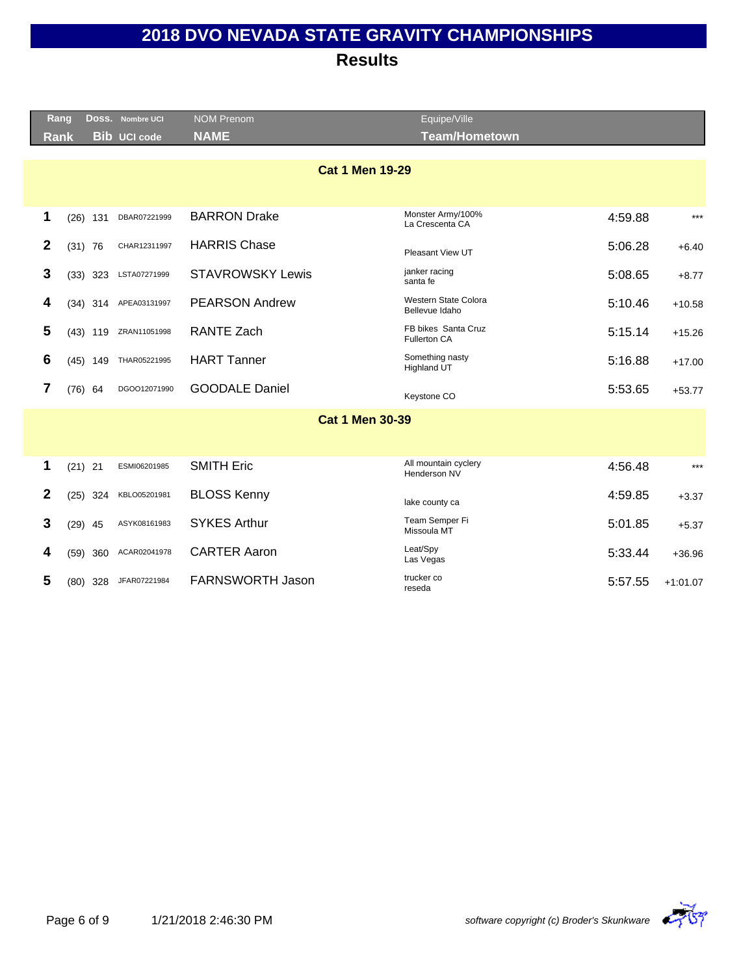|   | Rang |             | Doss. Nombre UCI    | <b>NOM Prenom</b>       | Equipe/Ville                                  |         |            |
|---|------|-------------|---------------------|-------------------------|-----------------------------------------------|---------|------------|
|   | Rank |             | <b>Bib UCI code</b> | <b>NAME</b>             | <b>Team/Hometown</b>                          |         |            |
|   |      |             |                     | <b>Cat 1 Men 19-29</b>  |                                               |         |            |
|   |      |             |                     |                         |                                               |         |            |
| 1 |      | (26)<br>131 | DBAR07221999        | <b>BARRON Drake</b>     | Monster Army/100%<br>La Crescenta CA          | 4:59.88 | $***$      |
| 2 |      | $(31)$ 76   | CHAR12311997        | <b>HARRIS Chase</b>     | Pleasant View UT                              | 5:06.28 | $+6.40$    |
| 3 |      | $(33)$ 323  | LSTA07271999        | <b>STAVROWSKY Lewis</b> | janker racing<br>santa fe                     | 5:08.65 | $+8.77$    |
| 4 |      | $(34)$ 314  | APEA03131997        | <b>PEARSON Andrew</b>   | <b>Western State Colora</b><br>Bellevue Idaho | 5:10.46 | $+10.58$   |
| 5 |      | $(43)$ 119  | ZRAN11051998        | <b>RANTE Zach</b>       | FB bikes Santa Cruz<br><b>Fullerton CA</b>    | 5:15.14 | $+15.26$   |
| 6 |      | $(45)$ 149  | THAR05221995        | <b>HART Tanner</b>      | Something nasty<br>Highland UT                | 5:16.88 | $+17.00$   |
| 7 |      | $(76)$ 64   | DGOO12071990        | <b>GOODALE Daniel</b>   | Keystone CO                                   | 5:53.65 | $+53.77$   |
|   |      |             |                     | <b>Cat 1 Men 30-39</b>  |                                               |         |            |
|   |      |             |                     |                         |                                               |         |            |
| 1 |      | $(21)$ 21   | ESMI06201985        | <b>SMITH Eric</b>       | All mountain cyclery<br>Henderson NV          | 4:56.48 | $***$      |
| 2 |      | 324<br>(25) | KBLO05201981        | <b>BLOSS Kenny</b>      | lake county ca                                | 4:59.85 | $+3.37$    |
| 3 |      | $(29)$ 45   | ASYK08161983        | <b>SYKES Arthur</b>     | Team Semper Fi<br>Missoula MT                 | 5:01.85 | $+5.37$    |
| 4 |      | (59)<br>360 | ACAR02041978        | <b>CARTER Aaron</b>     | Leat/Spy<br>Las Vegas                         | 5:33.44 | $+36.96$   |
| 5 |      | 328<br>(80) | JFAR07221984        | FARNSWORTH Jason        | trucker co<br>reseda                          | 5:57.55 | $+1:01.07$ |
|   |      |             |                     |                         |                                               |         |            |

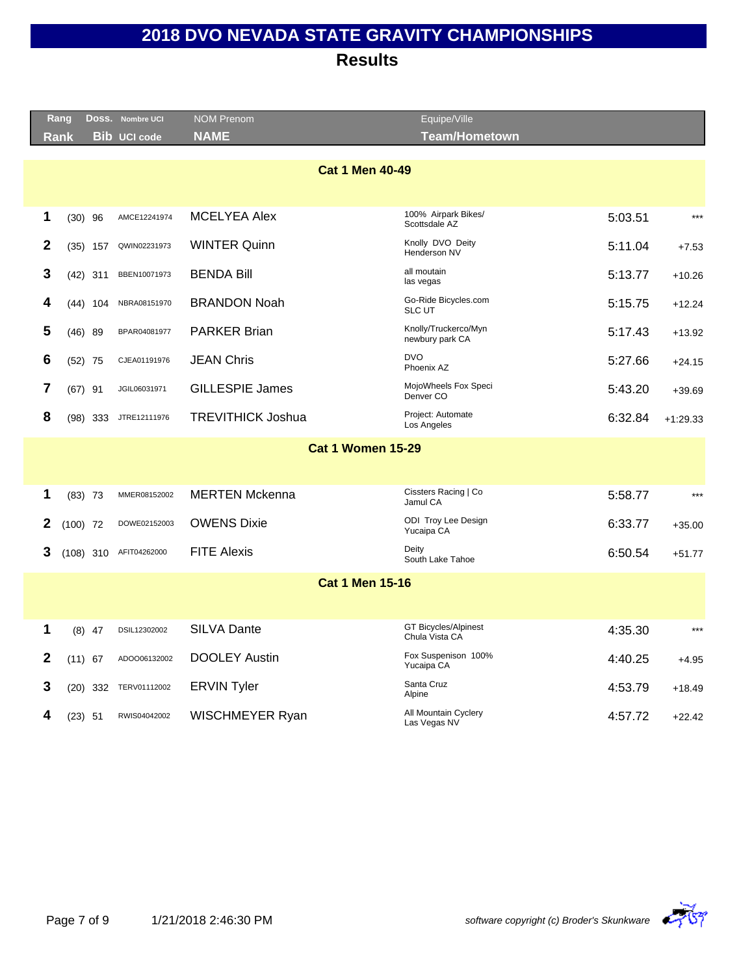| Rang |            | Doss. Nombre UCI       | <b>NOM Prenom</b>        | Equipe/Ville                                  |         |            |
|------|------------|------------------------|--------------------------|-----------------------------------------------|---------|------------|
| Rank |            | <b>Bib UCI code</b>    | <b>NAME</b>              | <b>Team/Hometown</b>                          |         |            |
|      |            |                        |                          |                                               |         |            |
|      |            |                        | <b>Cat 1 Men 40-49</b>   |                                               |         |            |
|      |            |                        |                          |                                               |         |            |
| 1    | $(30)$ 96  | AMCE12241974           | <b>MCELYEA Alex</b>      | 100% Airpark Bikes/<br>Scottsdale AZ          | 5:03.51 | $***$      |
| 2    | $(35)$ 157 | QWIN02231973           | <b>WINTER Quinn</b>      | Knolly DVO Deity<br>Henderson NV              | 5:11.04 | $+7.53$    |
| 3    | $(42)$ 311 | BBEN10071973           | <b>BENDA Bill</b>        | all moutain<br>las vegas                      | 5:13.77 | $+10.26$   |
| 4    | $(44)$ 104 | NBRA08151970           | <b>BRANDON Noah</b>      | Go-Ride Bicycles.com<br><b>SLC UT</b>         | 5:15.75 | $+12.24$   |
| 5    | $(46)$ 89  | BPAR04081977           | <b>PARKER Brian</b>      | Knolly/Truckerco/Myn<br>newbury park CA       | 5:17.43 | $+13.92$   |
| 6    | $(52)$ 75  | CJEA01191976           | JEAN Chris               | <b>DVO</b><br>Phoenix AZ                      | 5:27.66 | $+24.15$   |
| 7    | $(67)$ 91  | JGIL06031971           | <b>GILLESPIE James</b>   | MojoWheels Fox Speci<br>Denver CO             | 5:43.20 | $+39.69$   |
| 8    | $(98)$ 333 | JTRE12111976           | <b>TREVITHICK Joshua</b> | Project: Automate<br>Los Angeles              | 6:32.84 | $+1:29.33$ |
|      |            |                        | <b>Cat 1 Women 15-29</b> |                                               |         |            |
|      |            |                        |                          |                                               |         |            |
| 1    | $(83)$ 73  | MMER08152002           | <b>MERTEN Mckenna</b>    | Cissters Racing   Co<br>Jamul CA              | 5:58.77 | ***        |
| 2    | $(100)$ 72 | DOWE02152003           | <b>OWENS Dixie</b>       | ODI Troy Lee Design<br>Yucaipa CA             | 6:33.77 | $+35.00$   |
| 3    |            | (108) 310 AFIT04262000 | <b>FITE Alexis</b>       | Deity<br>South Lake Tahoe                     | 6:50.54 | $+51.77$   |
|      |            |                        | <b>Cat 1 Men 15-16</b>   |                                               |         |            |
|      |            |                        |                          |                                               |         |            |
| 1    | $(8)$ 47   | DSIL12302002           | <b>SILVA Dante</b>       | <b>GT Bicycles/Alpinest</b><br>Chula Vista CA | 4:35.30 | $***$      |
| 2    | $(11)$ 67  | ADOO06132002           | <b>DOOLEY Austin</b>     | Fox Suspenison 100%<br>Yucaipa CA             | 4:40.25 | $+4.95$    |
| 3    |            | (20) 332 TERV01112002  | <b>ERVIN Tyler</b>       | Santa Cruz<br>Alpine                          | 4:53.79 | $+18.49$   |
|      | $(23)$ 51  | RWIS04042002           | WISCHMEYER Ryan          | All Mountain Cyclery<br>Las Vegas NV          | 4:57.72 | $+22.42$   |
|      |            |                        |                          |                                               |         |            |

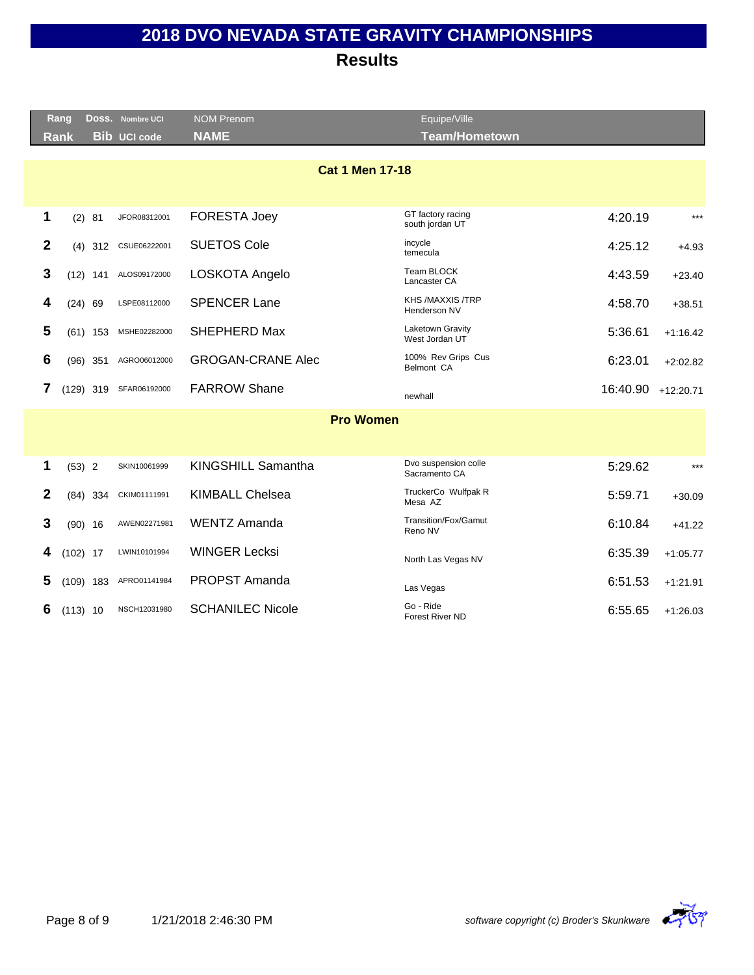|              | Rang        |             | DOSS. Nombre UCI    | <b>NOM Prenom</b>        | Equipe/Ville                          |          |             |
|--------------|-------------|-------------|---------------------|--------------------------|---------------------------------------|----------|-------------|
|              | <b>Rank</b> |             | <b>Bib UCI code</b> | <b>NAME</b>              | <b>Team/Hometown</b>                  |          |             |
|              |             |             |                     | <b>Cat 1 Men 17-18</b>   |                                       |          |             |
| 1            |             | (2) 81      | JFOR08312001        | <b>FORESTA Joey</b>      | GT factory racing<br>south jordan UT  | 4:20.19  | $***$       |
| $\mathbf{2}$ |             | $(4)$ 312   | CSUE06222001        | <b>SUETOS Cole</b>       | incycle<br>temecula                   | 4:25.12  | $+4.93$     |
| 3            |             | $(12)$ 141  | ALOS09172000        | LOSKOTA Angelo           | <b>Team BLOCK</b><br>Lancaster CA     | 4:43.59  | $+23.40$    |
| 4            |             | $(24)$ 69   | LSPE08112000        | <b>SPENCER Lane</b>      | <b>KHS/MAXXIS/TRP</b><br>Henderson NV | 4:58.70  | $+38.51$    |
| 5            |             | $(61)$ 153  | MSHE02282000        | SHEPHERD Max             | Laketown Gravity<br>West Jordan UT    | 5:36.61  | $+1:16.42$  |
| 6            |             | $(96)$ 351  | AGRO06012000        | <b>GROGAN-CRANE Alec</b> | 100% Rev Grips Cus<br>Belmont CA      | 6:23.01  | $+2:02.82$  |
| 7            |             | $(129)$ 319 | SFAR06192000        | <b>FARROW Shane</b>      | newhall                               | 16:40.90 | $+12:20.71$ |
|              |             |             |                     | <b>Pro Women</b>         |                                       |          |             |
| 1            |             | $(53)$ 2    | SKIN10061999        | KINGSHILL Samantha       | Dvo suspension colle<br>Sacramento CA | 5:29.62  | $***$       |
| $\mathbf{2}$ |             | $(84)$ 334  | CKIM01111991        | <b>KIMBALL Chelsea</b>   | TruckerCo Wulfpak R<br>Mesa AZ        | 5:59.71  | $+30.09$    |
| 3            |             | $(90)$ 16   | AWEN02271981        | <b>WENTZ Amanda</b>      | Transition/Fox/Gamut<br>Reno NV       | 6:10.84  | $+41.22$    |
| 4            | $(102)$ 17  |             | LWIN10101994        | <b>WINGER Lecksi</b>     | North Las Vegas NV                    | 6:35.39  | $+1:05.77$  |
| 5            |             | $(109)$ 183 | APRO01141984        | <b>PROPST Amanda</b>     | Las Vegas                             | 6:51.53  | $+1:21.91$  |
| 6            |             | $(113)$ 10  | NSCH12031980        | <b>SCHANILEC Nicole</b>  | Go - Ride<br>Forest River ND          | 6:55.65  | $+1:26.03$  |
|              |             |             |                     |                          |                                       |          |             |